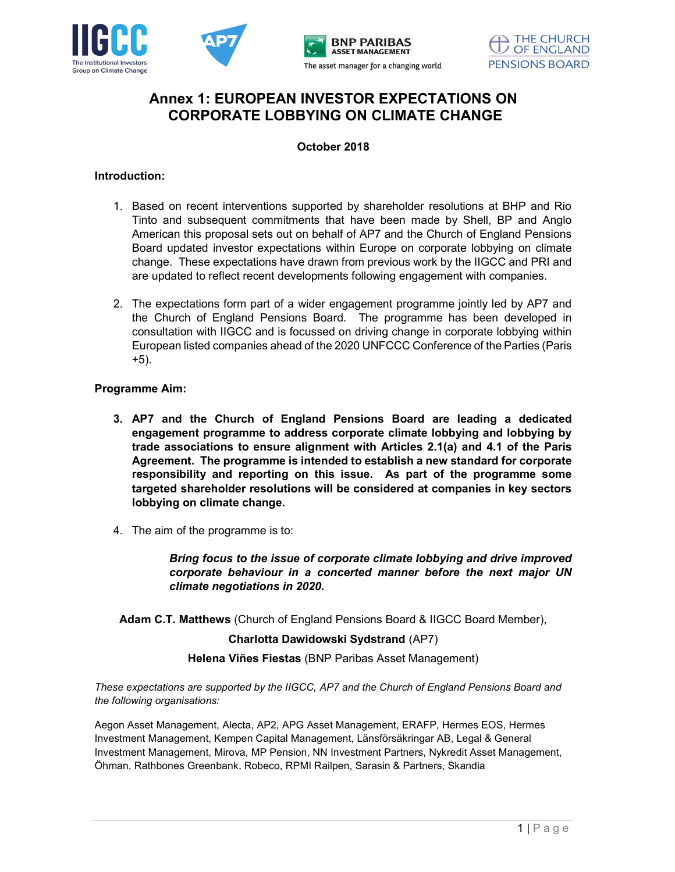

# Annex 1: EUROPEAN INVESTOR EXPECTATIONS ON CORPORATE LOBBYING ON CLIMATE CHANGE

#### October 2018

### Introduction:

- 1. Based on recent interventions supported by shareholder resolutions at BHP and Rio Tinto and subsequent commitments that have been made by Shell, BP and Anglo American this proposal sets out on behalf of AP7 and the Church of England Pensions Board updated investor expectations within Europe on corporate lobbying on climate change. These expectations have drawn from previous work by the IIGCC and PRI and are updated to reflect recent developments following engagement with companies.
- 2. The expectations form part of a wider engagement programme jointly led by AP7 and the Church of England Pensions Board. The programme has been developed in consultation with IIGCC and is focussed on driving change in corporate lobbying within European listed companies ahead of the 2020 UNFCCC Conference of the Parties (Paris +5).

## Programme Aim:

- 3. AP7 and the Church of England Pensions Board are leading a dedicated engagement programme to address corporate climate lobbying and lobbying by trade associations to ensure alignment with Articles 2.1(a) and 4.1 of the Paris Agreement. The programme is intended to establish a new standard for corporate responsibility and reporting on this issue. As part of the programme some targeted shareholder resolutions will be considered at companies in key sectors lobbying on climate change.
- 4. The aim of the programme is to:

Bring focus to the issue of corporate climate lobbying and drive improved corporate behaviour in a concerted manner before the next major UN climate negotiations in 2020.

Adam C.T. Matthews (Church of England Pensions Board & IIGCC Board Member),

### Charlotta Dawidowski Sydstrand (AP7)

Helena Viñes Fiestas (BNP Paribas Asset Management)

These expectations are supported by the IIGCC, AP7 and the Church of England Pensions Board and the following organisations:

Aegon Asset Management, Alecta, AP2, APG Asset Management, ERAFP, Hermes EOS, Hermes Investment Management, Kempen Capital Management, Länsförsäkringar AB, Legal & General Investment Management, Mirova, MP Pension, NN Investment Partners, Nykredit Asset Management, Öhman, Rathbones Greenbank, Robeco, RPMI Railpen, Sarasin & Partners, Skandia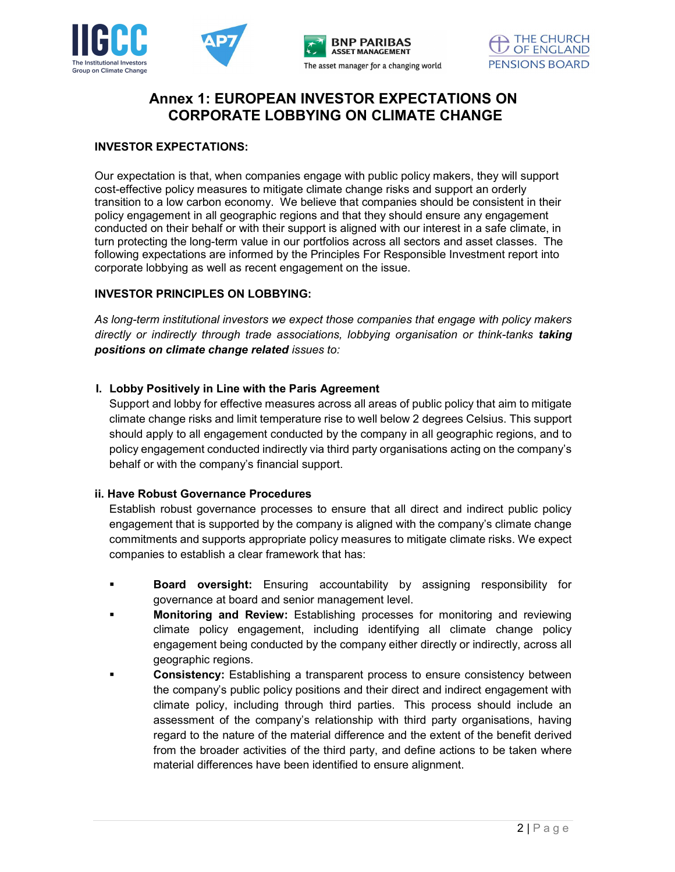

## Annex 1: EUROPEAN INVESTOR EXPECTATIONS ON CORPORATE LOBBYING ON CLIMATE CHANGE

### INVESTOR EXPECTATIONS:

Our expectation is that, when companies engage with public policy makers, they will support cost-effective policy measures to mitigate climate change risks and support an orderly transition to a low carbon economy. We believe that companies should be consistent in their policy engagement in all geographic regions and that they should ensure any engagement conducted on their behalf or with their support is aligned with our interest in a safe climate, in turn protecting the long-term value in our portfolios across all sectors and asset classes. The following expectations are informed by the Principles For Responsible Investment report into corporate lobbying as well as recent engagement on the issue.

## INVESTOR PRINCIPLES ON LOBBYING:

As long-term institutional investors we expect those companies that engage with policy makers directly or indirectly through trade associations, lobbying organisation or think-tanks taking positions on climate change related issues to:

## I. Lobby Positively in Line with the Paris Agreement

Support and lobby for effective measures across all areas of public policy that aim to mitigate climate change risks and limit temperature rise to well below 2 degrees Celsius. This support should apply to all engagement conducted by the company in all geographic regions, and to policy engagement conducted indirectly via third party organisations acting on the company's behalf or with the company's financial support.

### ii. Have Robust Governance Procedures

Establish robust governance processes to ensure that all direct and indirect public policy engagement that is supported by the company is aligned with the company's climate change commitments and supports appropriate policy measures to mitigate climate risks. We expect companies to establish a clear framework that has:

- **Board oversight:** Ensuring accountability by assigning responsibility for governance at board and senior management level.
- **Monitoring and Review:** Establishing processes for monitoring and reviewing climate policy engagement, including identifying all climate change policy engagement being conducted by the company either directly or indirectly, across all geographic regions.
- Consistency: Establishing a transparent process to ensure consistency between the company's public policy positions and their direct and indirect engagement with climate policy, including through third parties. This process should include an assessment of the company's relationship with third party organisations, having regard to the nature of the material difference and the extent of the benefit derived from the broader activities of the third party, and define actions to be taken where material differences have been identified to ensure alignment.